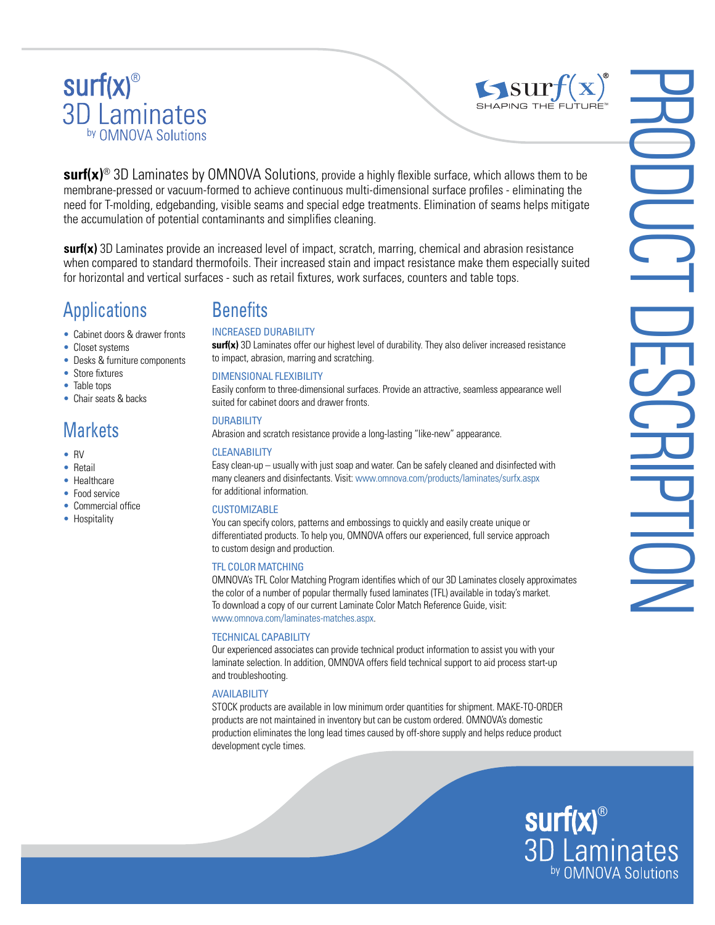# surf(x)<sup>®</sup><br>3D Laminates by OMNOVA Solutions



**surf(x)**® 3D Laminates by OMNOVA Solutions, provide a highly flexible surface, which allows them to be membrane-pressed or vacuum-formed to achieve continuous multi-dimensional surface profiles - eliminating the need for T-molding, edgebanding, visible seams and special edge treatments. Elimination of seams helps mitigate the accumulation of potential contaminants and simplifies cleaning.

**surf(x)** 3D Laminates provide an increased level of impact, scratch, marring, chemical and abrasion resistance when compared to standard thermofoils. Their increased stain and impact resistance make them especially suited for horizontal and vertical surfaces - such as retail fixtures, work surfaces, counters and table tops.

## Applications

- Cabinet doors & drawer fronts
- Closet systems
- Desks & furniture components
- Store fixtures
- Table tops
- Chair seats & backs

## **Markets**

- RV
- Retail
- Healthcare
- Food service
- Commercial office
- Hospitality

## **Benefits**

#### INCREASED DURABILITY

**surf(x)** 3D Laminates offer our highest level of durability. They also deliver increased resistance to impact, abrasion, marring and scratching.

#### DIMENSIONAL FLEXIBILITY

Easily conform to three-dimensional surfaces. Provide an attractive, seamless appearance well suited for cabinet doors and drawer fronts.

#### DURABILITY

Abrasion and scratch resistance provide a long-lasting "like-new" appearance.

#### **CLEANABILITY**

Easy clean-up – usually with just soap and water. Can be safely cleaned and disinfected with many cleaners and disinfectants. Visit: www.omnova.com/products/laminates/surfx.aspx for additional information.

#### **CUSTOMIZABLE**

You can specify colors, patterns and embossings to quickly and easily create unique or differentiated products. To help you, OMNOVA offers our experienced, full service approach to custom design and production.

#### TFL COLOR MATCHING

OMNOVA's TFL Color Matching Program identifies which of our 3D Laminates closely approximates the color of a number of popular thermally fused laminates (TFL) available in today's market. To download a copy of our current Laminate Color Match Reference Guide, visit: www.omnova.com/laminates-matches.aspx.

#### TECHNICAL CAPABILITY

Our experienced associates can provide technical product information to assist you with your laminate selection. In addition, OMNOVA offers field technical support to aid process start-up and troubleshooting.

#### **AVAILABILITY**

STOCK products are available in low minimum order quantities for shipment. MAKE-TO-ORDER products are not maintained in inventory but can be custom ordered. OMNOVA's domestic production eliminates the long lead times caused by off-shore supply and helps reduce product development cycle times.

**surf(x)**<sup>®</sup><br>3D Laminates by OMNOVA Solutions